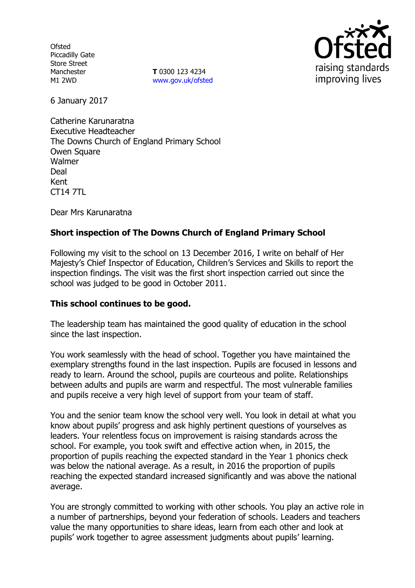**Ofsted** Piccadilly Gate Store Street Manchester M1 2WD

**T** 0300 123 4234 www.gov.uk/ofsted



6 January 2017

Catherine Karunaratna Executive Headteacher The Downs Church of England Primary School Owen Square Walmer Deal Kent CT14 7TL

Dear Mrs Karunaratna

# **Short inspection of The Downs Church of England Primary School**

Following my visit to the school on 13 December 2016, I write on behalf of Her Majesty's Chief Inspector of Education, Children's Services and Skills to report the inspection findings. The visit was the first short inspection carried out since the school was judged to be good in October 2011.

### **This school continues to be good.**

The leadership team has maintained the good quality of education in the school since the last inspection.

You work seamlessly with the head of school. Together you have maintained the exemplary strengths found in the last inspection. Pupils are focused in lessons and ready to learn. Around the school, pupils are courteous and polite. Relationships between adults and pupils are warm and respectful. The most vulnerable families and pupils receive a very high level of support from your team of staff.

You and the senior team know the school very well. You look in detail at what you know about pupils' progress and ask highly pertinent questions of yourselves as leaders. Your relentless focus on improvement is raising standards across the school. For example, you took swift and effective action when, in 2015, the proportion of pupils reaching the expected standard in the Year 1 phonics check was below the national average. As a result, in 2016 the proportion of pupils reaching the expected standard increased significantly and was above the national average.

You are strongly committed to working with other schools. You play an active role in a number of partnerships, beyond your federation of schools. Leaders and teachers value the many opportunities to share ideas, learn from each other and look at pupils' work together to agree assessment judgments about pupils' learning.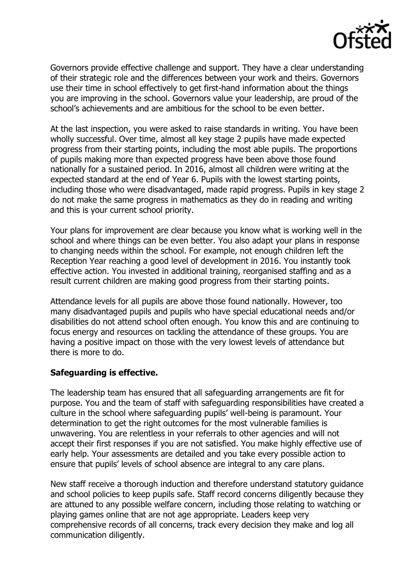

Governors provide effective challenge and support. They have a clear understanding of their strategic role and the differences between your work and theirs. Governors use their time in school effectively to get first-hand information about the things you are improving in the school. Governors value your leadership, are proud of the school's achievements and are ambitious for the school to be even better.

At the last inspection, you were asked to raise standards in writing. You have been wholly successful. Over time, almost all key stage 2 pupils have made expected progress from their starting points, including the most able pupils. The proportions of pupils making more than expected progress have been above those found nationally for a sustained period. In 2016, almost all children were writing at the expected standard at the end of Year 6. Pupils with the lowest starting points, including those who were disadvantaged, made rapid progress. Pupils in key stage 2 do not make the same progress in mathematics as they do in reading and writing and this is your current school priority.

Your plans for improvement are clear because you know what is working well in the school and where things can be even better. You also adapt your plans in response to changing needs within the school. For example, not enough children left the Reception Year reaching a good level of development in 2016. You instantly took effective action. You invested in additional training, reorganised staffing and as a result current children are making good progress from their starting points.

Attendance levels for all pupils are above those found nationally. However, too many disadvantaged pupils and pupils who have special educational needs and/or disabilities do not attend school often enough. You know this and are continuing to focus energy and resources on tackling the attendance of these groups. You are having a positive impact on those with the very lowest levels of attendance but there is more to do.

### **Safeguarding is effective.**

The leadership team has ensured that all safeguarding arrangements are fit for purpose. You and the team of staff with safeguarding responsibilities have created a culture in the school where safeguarding pupils' well-being is paramount. Your determination to get the right outcomes for the most vulnerable families is unwavering. You are relentless in your referrals to other agencies and will not accept their first responses if you are not satisfied. You make highly effective use of early help. Your assessments are detailed and you take every possible action to ensure that pupils' levels of school absence are integral to any care plans.

New staff receive a thorough induction and therefore understand statutory guidance and school policies to keep pupils safe. Staff record concerns diligently because they are attuned to any possible welfare concern, including those relating to watching or playing games online that are not age appropriate. Leaders keep very comprehensive records of all concerns, track every decision they make and log all communication diligently.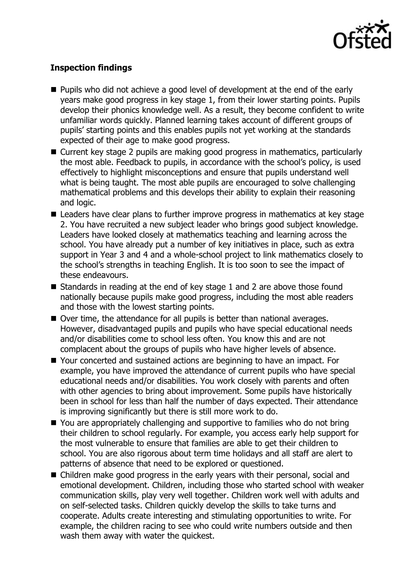

# **Inspection findings**

- **Pupils who did not achieve a good level of development at the end of the early** years make good progress in key stage 1, from their lower starting points. Pupils develop their phonics knowledge well. As a result, they become confident to write unfamiliar words quickly. Planned learning takes account of different groups of pupils' starting points and this enables pupils not yet working at the standards expected of their age to make good progress.
- Current key stage 2 pupils are making good progress in mathematics, particularly the most able. Feedback to pupils, in accordance with the school's policy, is used effectively to highlight misconceptions and ensure that pupils understand well what is being taught. The most able pupils are encouraged to solve challenging mathematical problems and this develops their ability to explain their reasoning and logic.
- Leaders have clear plans to further improve progress in mathematics at key stage 2. You have recruited a new subject leader who brings good subject knowledge. Leaders have looked closely at mathematics teaching and learning across the school. You have already put a number of key initiatives in place, such as extra support in Year 3 and 4 and a whole-school project to link mathematics closely to the school's strengths in teaching English. It is too soon to see the impact of these endeavours.
- Standards in reading at the end of key stage 1 and 2 are above those found nationally because pupils make good progress, including the most able readers and those with the lowest starting points.
- Over time, the attendance for all pupils is better than national averages. However, disadvantaged pupils and pupils who have special educational needs and/or disabilities come to school less often. You know this and are not complacent about the groups of pupils who have higher levels of absence.
- Your concerted and sustained actions are beginning to have an impact. For example, you have improved the attendance of current pupils who have special educational needs and/or disabilities. You work closely with parents and often with other agencies to bring about improvement. Some pupils have historically been in school for less than half the number of days expected. Their attendance is improving significantly but there is still more work to do.
- You are appropriately challenging and supportive to families who do not bring their children to school regularly. For example, you access early help support for the most vulnerable to ensure that families are able to get their children to school. You are also rigorous about term time holidays and all staff are alert to patterns of absence that need to be explored or questioned.
- Children make good progress in the early years with their personal, social and emotional development. Children, including those who started school with weaker communication skills, play very well together. Children work well with adults and on self-selected tasks. Children quickly develop the skills to take turns and cooperate. Adults create interesting and stimulating opportunities to write. For example, the children racing to see who could write numbers outside and then wash them away with water the quickest.